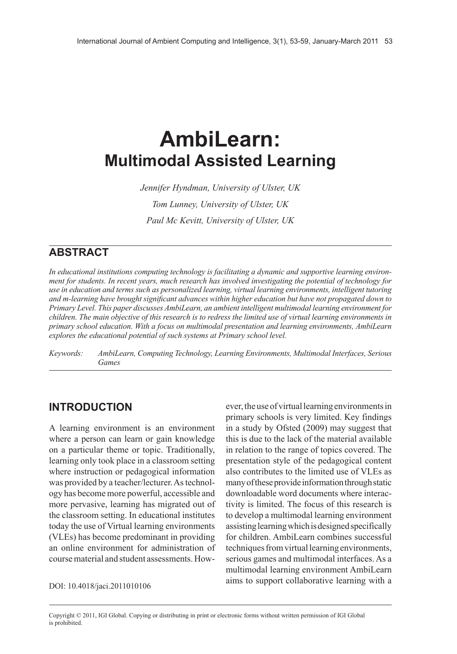# **AmbiLearn: Multimodal Assisted Learning**

*Jennifer Hyndman, University of Ulster, UK Tom Lunney, University of Ulster, UK Paul Mc Kevitt, University of Ulster, UK*

## **ABSTRACT**

*In educational institutions computing technology is facilitating a dynamic and supportive learning environment for students. In recent years, much research has involved investigating the potential of technology for use in education and terms such as personalized learning, virtual learning environments, intelligent tutoring and m-learning have brought significant advances within higher education but have not propagated down to Primary Level. This paper discusses AmbiLearn, an ambient intelligent multimodal learning environment for* children. The main objective of this research is to redress the limited use of virtual learning environments in *primary school education. With a focus on multimodal presentation and learning environments, AmbiLearn explores the educational potential of such systems at Primary school level.*

*Keywords: AmbiLearn, Computing Technology, Learning Environments, Multimodal Interfaces, Serious Games*

# **INTRODUCTION**

A learning environment is an environment where a person can learn or gain knowledge on a particular theme or topic. Traditionally, learning only took place in a classroom setting where instruction or pedagogical information was provided by a teacher/lecturer. As technology has become more powerful, accessible and more pervasive, learning has migrated out of the classroom setting. In educational institutes today the use of Virtual learning environments (VLEs) has become predominant in providing an online environment for administration of course material and student assessments. How-

ever, the use of virtual learning environments in primary schools is very limited. Key findings in a study by Ofsted (2009) may suggest that this is due to the lack of the material available in relation to the range of topics covered. The presentation style of the pedagogical content also contributes to the limited use of VLEs as many of these provide information through static downloadable word documents where interactivity is limited. The focus of this research is to develop a multimodal learning environment assisting learning which is designed specifically for children. AmbiLearn combines successful techniques from virtual learning environments, serious games and multimodal interfaces. As a multimodal learning environment AmbiLearn aims to support collaborative learning with a DOI: 10.4018/jaci.2011010106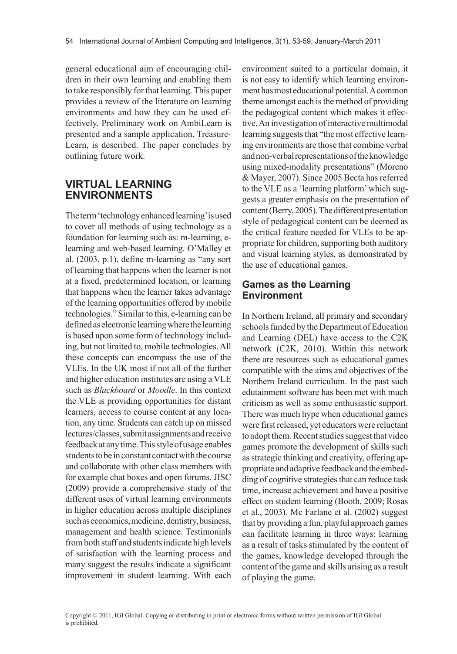general educational aim of encouraging children in their own learning and enabling them to take responsibly for that learning. This paper provides a review of the literature on learning environments and how they can be used effectively. Preliminary work on AmbiLearn is presented and a sample application, Treasure-Learn, is described. The paper concludes by outlining future work.

## **VIRTUAL LEARNING ENVIRONMENTS**

The term 'technology enhanced learning' is used to cover all methods of using technology as a foundation for learning such as: m-learning, elearning and web-based learning. O'Malley et al. (2003, p.1), define m-learning as "any sort of learning that happens when the learner is not at a fixed, predetermined location, or learning that happens when the learner takes advantage of the learning opportunities offered by mobile technologies." Similar to this, e-learning can be defined as electronic learning where the learning is based upon some form of technology including, but not limited to, mobile technologies. All these concepts can encompass the use of the VLEs. In the UK most if not all of the further and higher education institutes are using a VLE such as *Blackboard* or *Moodle*. In this context the VLE is providing opportunities for distant learners, access to course content at any location, any time. Students can catch up on missed lectures/classes, submit assignments and receive feedback at any time. This style of usage enables students to be in constant contact with the course and collaborate with other class members with for example chat boxes and open forums. JISC (2009) provide a comprehensive study of the different uses of virtual learning environments in higher education across multiple disciplines such as economics, medicine, dentistry, business, management and health science. Testimonials from both staff and students indicate high levels of satisfaction with the learning process and many suggest the results indicate a significant improvement in student learning. With each

environment suited to a particular domain, it is not easy to identify which learning environment has most educational potential. A common theme amongst each is the method of providing the pedagogical content which makes it effective. An investigation of interactive multimodal learning suggests that "the most effective learning environments are those that combine verbal and non-verbal representations of the knowledge using mixed-modality presentations" (Moreno & Mayer, 2007). Since 2005 Becta has referred to the VLE as a 'learning platform' which suggests a greater emphasis on the presentation of content (Berry, 2005). The different presentation style of pedagogical content can be deemed as the critical feature needed for VLEs to be appropriate for children, supporting both auditory and visual learning styles, as demonstrated by the use of educational games.

#### **Games as the Learning Environment**

In Northern Ireland, all primary and secondary schools funded by the Department of Education and Learning (DEL) have access to the C2K network (C2K, 2010). Within this network there are resources such as educational games compatible with the aims and objectives of the Northern Ireland curriculum. In the past such edutainment software has been met with much criticism as well as some enthusiastic support. There was much hype when educational games were first released, yet educators were reluctant to adopt them. Recent studies suggest that video games promote the development of skills such as strategic thinking and creativity, offering appropriate and adaptive feedback and the embedding of cognitive strategies that can reduce task time, increase achievement and have a positive effect on student learning (Booth, 2009; Rosas et al., 2003). Mc Farlane et al. (2002) suggest that by providing a fun, playful approach games can facilitate learning in three ways: learning as a result of tasks stimulated by the content of the games, knowledge developed through the content of the game and skills arising as a result of playing the game.

Copyright © 2011, IGI Global. Copying or distributing in print or electronic forms without written permission of IGI Global is prohibited.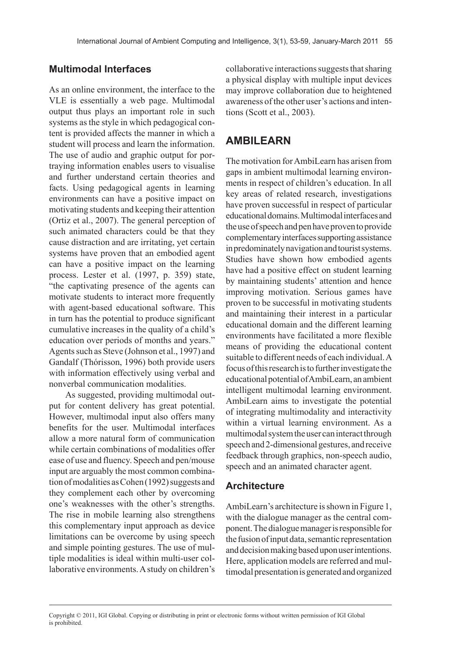#### **Multimodal Interfaces**

As an online environment, the interface to the VLE is essentially a web page. Multimodal output thus plays an important role in such systems as the style in which pedagogical content is provided affects the manner in which a student will process and learn the information. The use of audio and graphic output for portraying information enables users to visualise and further understand certain theories and facts. Using pedagogical agents in learning environments can have a positive impact on motivating students and keeping their attention (Ortiz et al., 2007). The general perception of such animated characters could be that they cause distraction and are irritating, yet certain systems have proven that an embodied agent can have a positive impact on the learning process. Lester et al. (1997, p. 359) state, "the captivating presence of the agents can motivate students to interact more frequently with agent-based educational software. This in turn has the potential to produce significant cumulative increases in the quality of a child's education over periods of months and years." Agents such as Steve (Johnson et al., 1997) and Gandalf (Thórisson, 1996) both provide users with information effectively using verbal and nonverbal communication modalities.

As suggested, providing multimodal output for content delivery has great potential. However, multimodal input also offers many benefits for the user. Multimodal interfaces allow a more natural form of communication while certain combinations of modalities offer ease of use and fluency. Speech and pen/mouse input are arguably the most common combination of modalities as Cohen (1992) suggests and they complement each other by overcoming one's weaknesses with the other's strengths. The rise in mobile learning also strengthens this complementary input approach as device limitations can be overcome by using speech and simple pointing gestures. The use of multiple modalities is ideal within multi-user collaborative environments. A study on children's collaborative interactions suggests that sharing a physical display with multiple input devices may improve collaboration due to heightened awareness of the other user's actions and intentions (Scott et al., 2003).

## **AMBILEARN**

The motivation for AmbiLearn has arisen from gaps in ambient multimodal learning environments in respect of children's education. In all key areas of related research, investigations have proven successful in respect of particular educational domains. Multimodal interfaces and the use of speech and pen have proven to provide complementary interfaces supporting assistance in predominately navigation and tourist systems. Studies have shown how embodied agents have had a positive effect on student learning by maintaining students' attention and hence improving motivation. Serious games have proven to be successful in motivating students and maintaining their interest in a particular educational domain and the different learning environments have facilitated a more flexible means of providing the educational content suitable to different needs of each individual. A focus of this research is to further investigate the educational potential of AmbiLearn, an ambient intelligent multimodal learning environment. AmbiLearn aims to investigate the potential of integrating multimodality and interactivity within a virtual learning environment. As a multimodal system the user can interact through speech and 2-dimensional gestures, and receive feedback through graphics, non-speech audio, speech and an animated character agent.

#### **Architecture**

AmbiLearn's architecture is shown in Figure 1, with the dialogue manager as the central component. The dialogue manager is responsible for the fusion of input data, semantic representation and decision making based upon user intentions. Here, application models are referred and multimodal presentation is generated and organized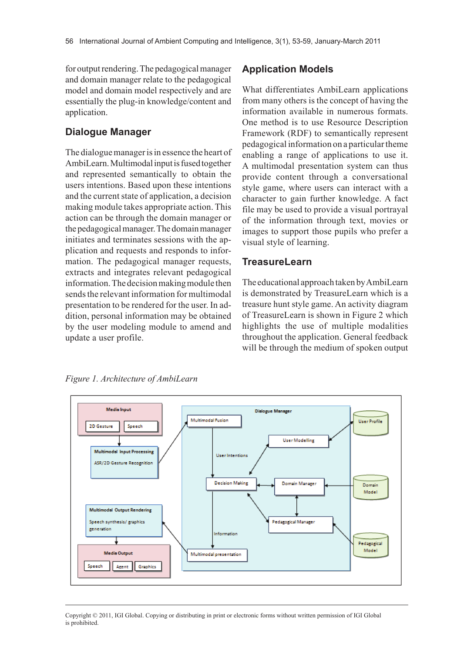for output rendering. The pedagogical manager and domain manager relate to the pedagogical model and domain model respectively and are essentially the plug-in knowledge/content and application.

### **Dialogue Manager**

The dialogue manager is in essence the heart of AmbiLearn. Multimodal input is fused together and represented semantically to obtain the users intentions. Based upon these intentions and the current state of application, a decision making module takes appropriate action. This action can be through the domain manager or the pedagogical manager. The domain manager initiates and terminates sessions with the application and requests and responds to information. The pedagogical manager requests, extracts and integrates relevant pedagogical information. The decision making module then sends the relevant information for multimodal presentation to be rendered for the user. In addition, personal information may be obtained by the user modeling module to amend and update a user profile.

#### **Application Models**

What differentiates AmbiLearn applications from many others is the concept of having the information available in numerous formats. One method is to use Resource Description Framework (RDF) to semantically represent pedagogical information on a particular theme enabling a range of applications to use it. A multimodal presentation system can thus provide content through a conversational style game, where users can interact with a character to gain further knowledge. A fact file may be used to provide a visual portrayal of the information through text, movies or images to support those pupils who prefer a visual style of learning.

#### **TreasureLearn**

The educational approach taken by AmbiLearn is demonstrated by TreasureLearn which is a treasure hunt style game. An activity diagram of TreasureLearn is shown in Figure 2 which highlights the use of multiple modalities throughout the application. General feedback will be through the medium of spoken output



*Figure 1. Architecture of AmbiLearn*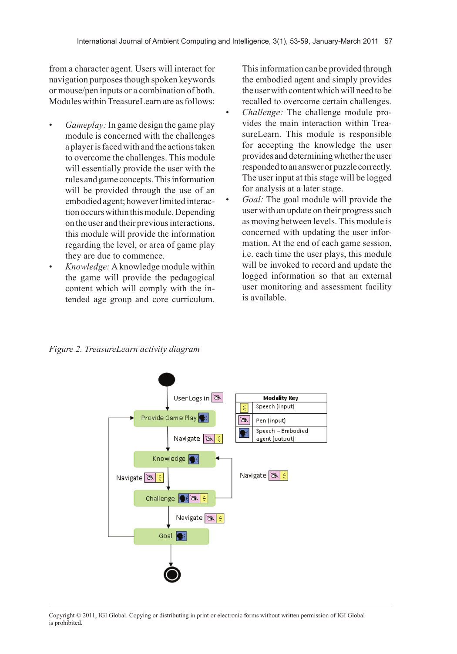from a character agent. Users will interact for navigation purposes though spoken keywords or mouse/pen inputs or a combination of both. Modules within TreasureLearn are as follows:

- *Gameplay:* In game design the game play module is concerned with the challenges a player is faced with and the actions taken to overcome the challenges. This module will essentially provide the user with the rules and game concepts. This information will be provided through the use of an embodied agent; however limited interaction occurs within this module. Depending on the user and their previous interactions, this module will provide the information regarding the level, or area of game play they are due to commence.
- *Knowledge:* A knowledge module within the game will provide the pedagogical content which will comply with the intended age group and core curriculum.

This information can be provided through the embodied agent and simply provides the user with content which will need to be recalled to overcome certain challenges.

- *Challenge:* The challenge module provides the main interaction within TreasureLearn. This module is responsible for accepting the knowledge the user provides and determining whether the user responded to an answer or puzzle correctly. The user input at this stage will be logged for analysis at a later stage.
- *Goal:* The goal module will provide the user with an update on their progress such as moving between levels. This module is concerned with updating the user information. At the end of each game session, i.e. each time the user plays, this module will be invoked to record and update the logged information so that an external user monitoring and assessment facility is available.

*Figure 2. TreasureLearn activity diagram*



Copyright © 2011, IGI Global. Copying or distributing in print or electronic forms without written permission of IGI Global is prohibited.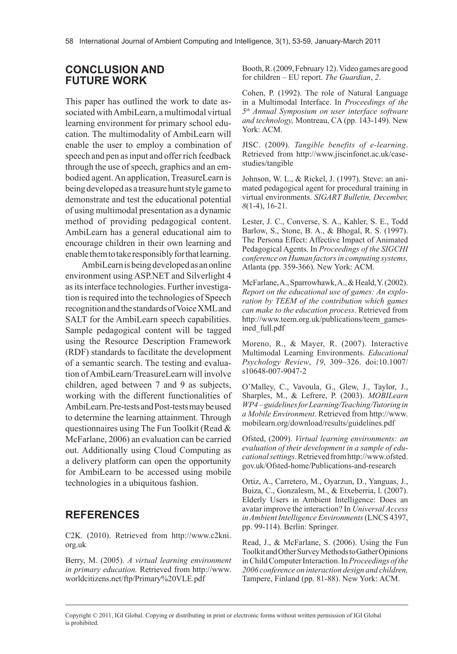#### **CONCLUSION AND FUTURE WORK**

This paper has outlined the work to date associated with AmbiLearn, a multimodal virtual learning environment for primary school education. The multimodality of AmbiLearn will enable the user to employ a combination of speech and pen as input and offer rich feedback through the use of speech, graphics and an embodied agent. An application, TreasureLearn is being developed as a treasure hunt style game to demonstrate and test the educational potential of using multimodal presentation as a dynamic method of providing pedagogical content. AmbiLearn has a general educational aim to encourage children in their own learning and enable them to take responsibly for that learning.

AmbiLearn is being developed as an online environment using ASP.NET and Silverlight 4 as its interface technologies. Further investigation is required into the technologies of Speech recognition and the standards of Voice XML and SALT for the AmbiLearn speech capabilities. Sample pedagogical content will be tagged using the Resource Description Framework (RDF) standards to facilitate the development of a semantic search. The testing and evaluation of AmbiLearn/TreasureLearn will involve children, aged between 7 and 9 as subjects, working with the different functionalities of AmbiLearn. Pre-tests and Post-tests may be used to determine the learning attainment. Through questionnaires using The Fun Toolkit (Read & McFarlane, 2006) an evaluation can be carried out. Additionally using Cloud Computing as a delivery platform can open the opportunity for AmbiLearn to be accessed using mobile technologies in a ubiquitous fashion.

## **REFERENCES**

C2K. (2010). Retrieved from http://www.c2kni. org.uk

Berry, M. (2005). *A virtual learning environment in primary education.* Retrieved from http://www. worldcitizens.net/ftp/Primary%20VLE.pdf

Booth, R. (2009, February 12). Video games are good for children – EU report. *The Guardian*, *2*.

Cohen, P. (1992). The role of Natural Language in a Multimodal Interface. In *Proceedings of the 5th Annual Symposium on user interface software and technology,* Montreau, CA (pp. 143-149). New York: ACM.

JISC. (2009). *Tangible benefits of e-learning*. Retrieved from http://www.jiscinfonet.ac.uk/casestudies/tangible

Johnson, W. L., & Rickel, J. (1997). Steve: an animated pedagogical agent for procedural training in virtual environments. *SIGART Bulletin, December, 8*(1-4), 16-21.

Lester, J. C., Converse, S. A., Kahler, S. E., Todd Barlow, S., Stone, B. A., & Bhogal, R. S. (1997). The Persona Effect: Affective Impact of Animated Pedagogical Agents. In *Proceedings of the SIGCHI conference on Human factorsin computing systems,* Atlanta (pp. 359-366). New York: ACM.

McFarlane, A., Sparrowhawk, A., & Heald, Y. (2002). *Report on the educational use of games: An exploration by TEEM of the contribution which games can make to the education process*. Retrieved from http://www.teem.org.uk/publications/teem\_gamesined\_full.pdf

Moreno, R., & Mayer, R. (2007). Interactive Multimodal Learning Environments. *Educational Psychology Review*, *19*, 309–326. doi:10.1007/ s10648-007-9047-2

O'Malley, C., Vavoula, G., Glew, J., Taylor, J., Sharples, M., & Lefrere, P. (2003). *MOBILearn WP4–guidelinesforLearning/Teaching/Tutoringin a Mobile Environment.* Retrieved from http://www. mobilearn.org/download/results/guidelines.pdf

Ofsted, (2009). *Virtual learning environments: an evaluation of their development in a sample of educationalsettings.* Retrieved from http://www.ofsted. gov.uk/Ofsted-home/Publications-and-research

Ortiz, A., Carretero, M., Oyarzun, D., Yanguas, J., Buiza, C., Gonzalesm, M., & Etxeberria, l. (2007). Elderly Users in Ambient Intelligence: Does an avatar improve the interaction? In *Universal Access in Ambient Intelligence Environments* (LNCS 4397, pp. 99-114). Berlin: Springer.

Read, J., & McFarlane, S. (2006). Using the Fun Toolkit and Other Survey Methods to Gather Opinions in Child Computer Interaction. In *Proceedings ofthe 2006 conference on interaction design and children,* Tampere, Finland (pp. 81-88). New York: ACM.

Copyright © 2011, IGI Global. Copying or distributing in print or electronic forms without written permission of IGI Global is prohibited.